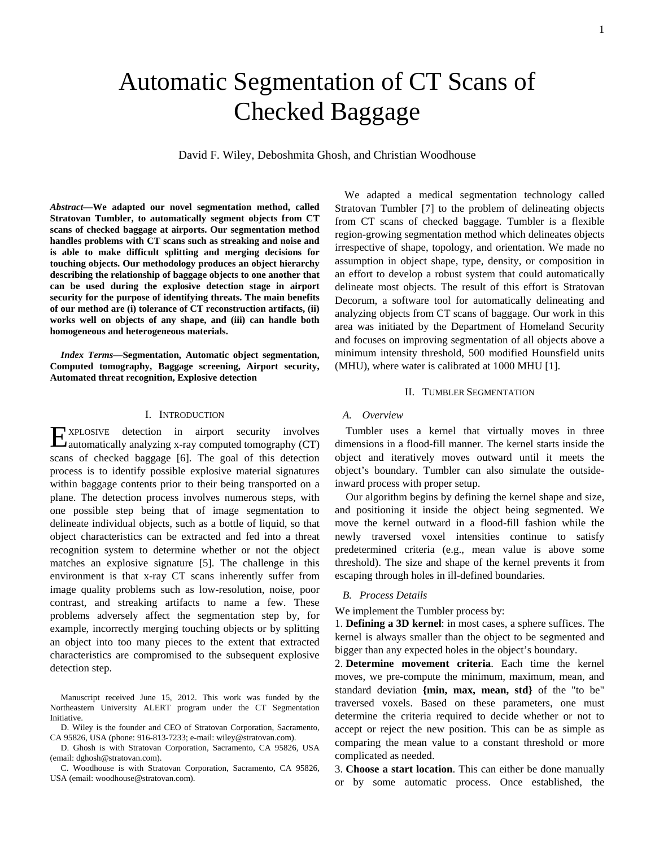# Automatic Segmentation of CT Scans of Checked Baggage

David F. Wiley, Deboshmita Ghosh, and Christian Woodhouse

*Abstract***—We adapted our novel segmentation method, called Stratovan Tumbler, to automatically segment objects from CT scans of checked baggage at airports. Our segmentation method handles problems with CT scans such as streaking and noise and is able to make difficult splitting and merging decisions for touching objects. Our methodology produces an object hierarchy describing the relationship of baggage objects to one another that can be used during the explosive detection stage in airport security for the purpose of identifying threats. The main benefits of our method are (i) tolerance of CT reconstruction artifacts, (ii) works well on objects of any shape, and (iii) can handle both homogeneous and heterogeneous materials.** 

*Index Terms***—Segmentation, Automatic object segmentation, Computed tomography, Baggage screening, Airport security, Automated threat recognition, Explosive detection** 

## I. INTRODUCTION

XPLOSIVE detection in airport security involves EXPLOSIVE detection in airport security involves<br>automatically analyzing x-ray computed tomography (CT) scans of checked baggage [6]. The goal of this detection process is to identify possible explosive material signatures within baggage contents prior to their being transported on a plane. The detection process involves numerous steps, with one possible step being that of image segmentation to delineate individual objects, such as a bottle of liquid, so that object characteristics can be extracted and fed into a threat recognition system to determine whether or not the object matches an explosive signature [5]. The challenge in this environment is that x-ray CT scans inherently suffer from image quality problems such as low-resolution, noise, poor contrast, and streaking artifacts to name a few. These problems adversely affect the segmentation step by, for example, incorrectly merging touching objects or by splitting an object into too many pieces to the extent that extracted characteristics are compromised to the subsequent explosive detection step.

We adapted a medical segmentation technology called Stratovan Tumbler [7] to the problem of delineating objects from CT scans of checked baggage. Tumbler is a flexible region-growing segmentation method which delineates objects irrespective of shape, topology, and orientation. We made no assumption in object shape, type, density, or composition in an effort to develop a robust system that could automatically delineate most objects. The result of this effort is Stratovan Decorum, a software tool for automatically delineating and analyzing objects from CT scans of baggage. Our work in this area was initiated by the Department of Homeland Security and focuses on improving segmentation of all objects above a minimum intensity threshold, 500 modified Hounsfield units (MHU), where water is calibrated at 1000 MHU [1].

#### II. TUMBLER SEGMENTATION

## *A. Overview*

Tumbler uses a kernel that virtually moves in three dimensions in a flood-fill manner. The kernel starts inside the object and iteratively moves outward until it meets the object's boundary. Tumbler can also simulate the outsideinward process with proper setup.

Our algorithm begins by defining the kernel shape and size, and positioning it inside the object being segmented. We move the kernel outward in a flood-fill fashion while the newly traversed voxel intensities continue to satisfy predetermined criteria (e.g., mean value is above some threshold). The size and shape of the kernel prevents it from escaping through holes in ill-defined boundaries.

#### *B. Process Details*

We implement the Tumbler process by:

1. **Defining a 3D kernel**: in most cases, a sphere suffices. The kernel is always smaller than the object to be segmented and bigger than any expected holes in the object's boundary.

2. **Determine movement criteria**. Each time the kernel moves, we pre-compute the minimum, maximum, mean, and standard deviation **{min, max, mean, std}** of the "to be" traversed voxels. Based on these parameters, one must determine the criteria required to decide whether or not to accept or reject the new position. This can be as simple as comparing the mean value to a constant threshold or more complicated as needed.

3. **Choose a start location**. This can either be done manually or by some automatic process. Once established, the

Manuscript received June 15, 2012. This work was funded by the Northeastern University ALERT program under the CT Segmentation Initiative.

D. Wiley is the founder and CEO of Stratovan Corporation, Sacramento, CA 95826, USA (phone: 916-813-7233; e-mail: wiley@stratovan.com).

D. Ghosh is with Stratovan Corporation, Sacramento, CA 95826, USA (email: dghosh@stratovan.com).

C. Woodhouse is with Stratovan Corporation, Sacramento, CA 95826, USA (email: woodhouse@stratovan.com).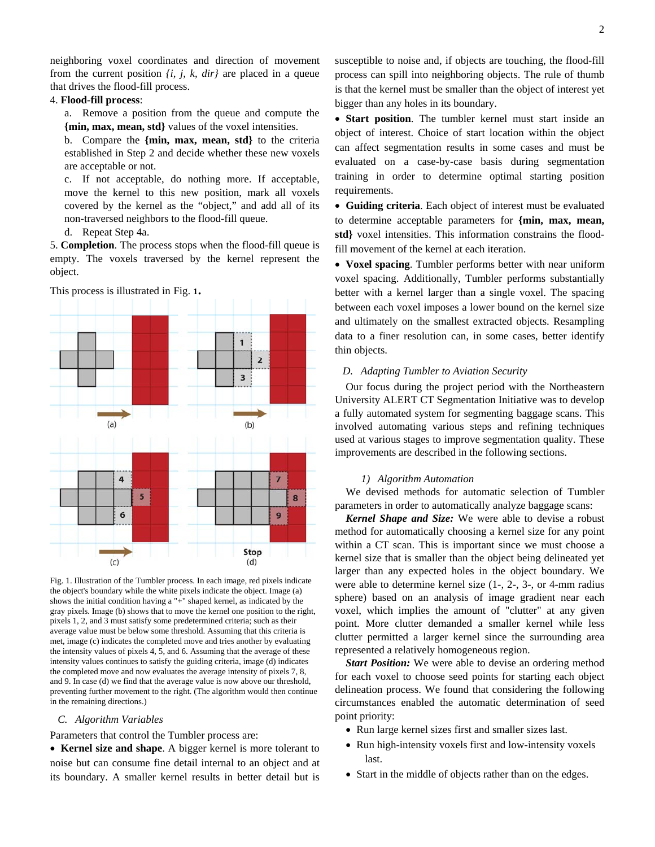neighboring voxel coordinates and direction of movement from the current position *{i, j, k, dir}* are placed in a queue that drives the flood-fill process.

## 4. **Flood-fill process**:

a. Remove a position from the queue and compute the **{min, max, mean, std}** values of the voxel intensities.

b. Compare the **{min, max, mean, std}** to the criteria established in Step 2 and decide whether these new voxels are acceptable or not.

c. If not acceptable, do nothing more. If acceptable, move the kernel to this new position, mark all voxels covered by the kernel as the "object," and add all of its non-traversed neighbors to the flood-fill queue.

d. Repeat Step 4a.

5. **Completion**. The process stops when the flood-fill queue is empty. The voxels traversed by the kernel represent the object.



Fig. 1. Illustration of the Tumbler process. In each image, red pixels indicate the object's boundary while the white pixels indicate the object. Image (a) shows the initial condition having a "+" shaped kernel, as indicated by the gray pixels. Image (b) shows that to move the kernel one position to the right, pixels 1, 2, and 3 must satisfy some predetermined criteria; such as their average value must be below some threshold. Assuming that this criteria is met, image (c) indicates the completed move and tries another by evaluating the intensity values of pixels 4, 5, and 6. Assuming that the average of these intensity values continues to satisfy the guiding criteria, image (d) indicates the completed move and now evaluates the average intensity of pixels 7, 8, and 9. In case (d) we find that the average value is now above our threshold, preventing further movement to the right. (The algorithm would then continue in the remaining directions.)

### *C. Algorithm Variables*

Parameters that control the Tumbler process are:

 **Kernel size and shape**. A bigger kernel is more tolerant to noise but can consume fine detail internal to an object and at its boundary. A smaller kernel results in better detail but is susceptible to noise and, if objects are touching, the flood-fill process can spill into neighboring objects. The rule of thumb is that the kernel must be smaller than the object of interest yet bigger than any holes in its boundary.

 **Start position**. The tumbler kernel must start inside an object of interest. Choice of start location within the object can affect segmentation results in some cases and must be evaluated on a case-by-case basis during segmentation training in order to determine optimal starting position requirements.

 **Guiding criteria**. Each object of interest must be evaluated to determine acceptable parameters for **{min, max, mean, std}** voxel intensities. This information constrains the floodfill movement of the kernel at each iteration.

 **Voxel spacing**. Tumbler performs better with near uniform voxel spacing. Additionally, Tumbler performs substantially better with a kernel larger than a single voxel. The spacing between each voxel imposes a lower bound on the kernel size and ultimately on the smallest extracted objects. Resampling data to a finer resolution can, in some cases, better identify thin objects.

## *D. Adapting Tumbler to Aviation Security*

Our focus during the project period with the Northeastern University ALERT CT Segmentation Initiative was to develop a fully automated system for segmenting baggage scans. This involved automating various steps and refining techniques used at various stages to improve segmentation quality. These improvements are described in the following sections.

### *1) Algorithm Automation*

We devised methods for automatic selection of Tumbler parameters in order to automatically analyze baggage scans:

*Kernel Shape and Size:* We were able to devise a robust method for automatically choosing a kernel size for any point within a CT scan. This is important since we must choose a kernel size that is smaller than the object being delineated yet larger than any expected holes in the object boundary. We were able to determine kernel size (1-, 2-, 3-, or 4-mm radius sphere) based on an analysis of image gradient near each voxel, which implies the amount of "clutter" at any given point. More clutter demanded a smaller kernel while less clutter permitted a larger kernel since the surrounding area represented a relatively homogeneous region.

*Start Position:* We were able to devise an ordering method for each voxel to choose seed points for starting each object delineation process. We found that considering the following circumstances enabled the automatic determination of seed point priority:

- Run large kernel sizes first and smaller sizes last.
- Run high-intensity voxels first and low-intensity voxels last.
- Start in the middle of objects rather than on the edges.

This process is illustrated in Fig. **1**.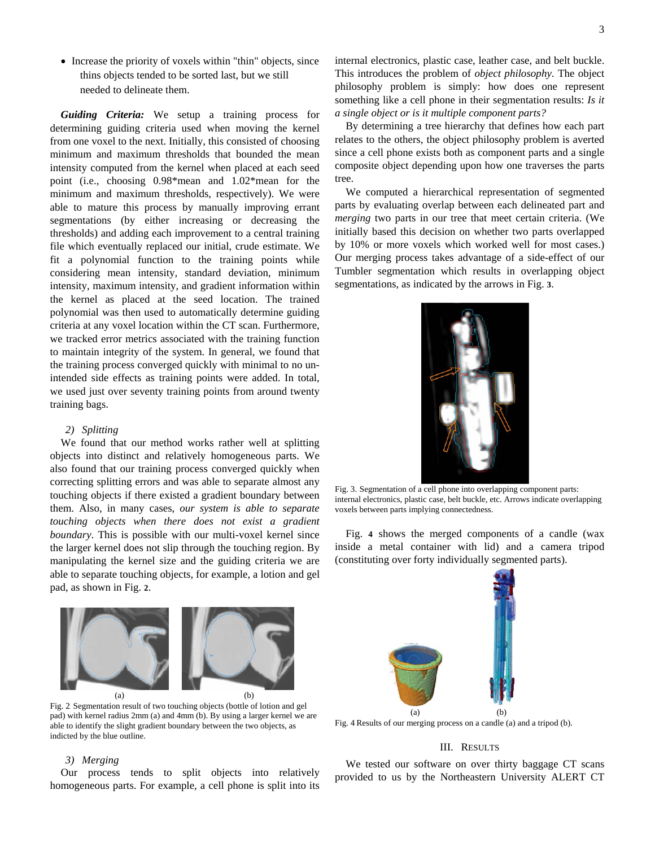• Increase the priority of voxels within "thin" objects, since thins objects tended to be sorted last, but we still needed to delineate them.

*Guiding Criteria:* We setup a training process for determining guiding criteria used when moving the kernel from one voxel to the next. Initially, this consisted of choosing minimum and maximum thresholds that bounded the mean intensity computed from the kernel when placed at each seed point (i.e., choosing 0.98\*mean and 1.02\*mean for the minimum and maximum thresholds, respectively). We were able to mature this process by manually improving errant segmentations (by either increasing or decreasing the thresholds) and adding each improvement to a central training file which eventually replaced our initial, crude estimate. We fit a polynomial function to the training points while considering mean intensity, standard deviation, minimum intensity, maximum intensity, and gradient information within the kernel as placed at the seed location. The trained polynomial was then used to automatically determine guiding criteria at any voxel location within the CT scan. Furthermore, we tracked error metrics associated with the training function to maintain integrity of the system. In general, we found that the training process converged quickly with minimal to no unintended side effects as training points were added. In total, we used just over seventy training points from around twenty training bags.

## *2) Splitting*

We found that our method works rather well at splitting objects into distinct and relatively homogeneous parts. We also found that our training process converged quickly when correcting splitting errors and was able to separate almost any touching objects if there existed a gradient boundary between them. Also, in many cases, *our system is able to separate touching objects when there does not exist a gradient boundary*. This is possible with our multi-voxel kernel since the larger kernel does not slip through the touching region. By manipulating the kernel size and the guiding criteria we are able to separate touching objects, for example, a lotion and gel pad, as shown in Fig. **2**.



 $\begin{pmatrix} (a) & (b) \end{pmatrix}$ Fig. 2. Segmentation result of two touching objects (bottle of lotion and gel pad) with kernel radius 2mm (a) and 4mm (b). By using a larger kernel we are able to identify the slight gradient boundary between the two objects, as indicted by the blue outline.

### *3) Merging*

Our process tends to split objects into relatively homogeneous parts. For example, a cell phone is split into its internal electronics, plastic case, leather case, and belt buckle. This introduces the problem of *object philosophy*. The object philosophy problem is simply: how does one represent something like a cell phone in their segmentation results: *Is it a single object or is it multiple component parts?*

By determining a tree hierarchy that defines how each part relates to the others, the object philosophy problem is averted since a cell phone exists both as component parts and a single composite object depending upon how one traverses the parts tree.

We computed a hierarchical representation of segmented parts by evaluating overlap between each delineated part and *merging* two parts in our tree that meet certain criteria. (We initially based this decision on whether two parts overlapped by 10% or more voxels which worked well for most cases.) Our merging process takes advantage of a side-effect of our Tumbler segmentation which results in overlapping object segmentations, as indicated by the arrows in Fig. **3**.



Fig. 3. Segmentation of a cell phone into overlapping component parts: internal electronics, plastic case, belt buckle, etc. Arrows indicate overlapping voxels between parts implying connectedness.

Fig. **4** shows the merged components of a candle (wax inside a metal container with lid) and a camera tripod (constituting over forty individually segmented parts).



Fig. 4. Results of our merging process on a candle (a) and a tripod (b).

## III. RESULTS

We tested our software on over thirty baggage CT scans provided to us by the Northeastern University ALERT CT